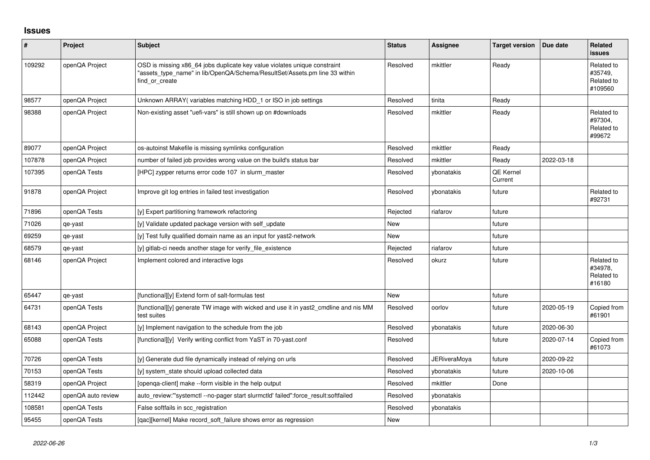## **Issues**

| #      | Project            | <b>Subject</b>                                                                                                                                                            | <b>Status</b> | Assignee            | <b>Target version</b>       | Due date   | Related<br><b>issues</b>                       |
|--------|--------------------|---------------------------------------------------------------------------------------------------------------------------------------------------------------------------|---------------|---------------------|-----------------------------|------------|------------------------------------------------|
| 109292 | openQA Project     | OSD is missing x86_64 jobs duplicate key value violates unique constraint<br>"assets_type_name" in lib/OpenQA/Schema/ResultSet/Assets.pm line 33 within<br>find or create | Resolved      | mkittler            | Ready                       |            | Related to<br>#35749.<br>Related to<br>#109560 |
| 98577  | openQA Project     | Unknown ARRAY(variables matching HDD_1 or ISO in job settings                                                                                                             | Resolved      | tinita              | Ready                       |            |                                                |
| 98388  | openQA Project     | Non-existing asset "uefi-vars" is still shown up on #downloads                                                                                                            | Resolved      | mkittler            | Ready                       |            | Related to<br>#97304,<br>Related to<br>#99672  |
| 89077  | openQA Project     | os-autoinst Makefile is missing symlinks configuration                                                                                                                    | Resolved      | mkittler            | Ready                       |            |                                                |
| 107878 | openQA Project     | number of failed job provides wrong value on the build's status bar                                                                                                       | Resolved      | mkittler            | Ready                       | 2022-03-18 |                                                |
| 107395 | openQA Tests       | [HPC] zypper returns error code 107 in slurm_master                                                                                                                       | Resolved      | ybonatakis          | <b>QE Kernel</b><br>Current |            |                                                |
| 91878  | openQA Project     | Improve git log entries in failed test investigation                                                                                                                      | Resolved      | ybonatakis          | future                      |            | Related to<br>#92731                           |
| 71896  | openQA Tests       | [y] Expert partitioning framework refactoring                                                                                                                             | Rejected      | riafarov            | future                      |            |                                                |
| 71026  | qe-yast            | [y] Validate updated package version with self update                                                                                                                     | <b>New</b>    |                     | future                      |            |                                                |
| 69259  | qe-yast            | [y] Test fully qualified domain name as an input for yast2-network                                                                                                        | <b>New</b>    |                     | future                      |            |                                                |
| 68579  | qe-yast            | [y] gitlab-ci needs another stage for verify file existence                                                                                                               | Rejected      | riafarov            | future                      |            |                                                |
| 68146  | openQA Project     | Implement colored and interactive logs                                                                                                                                    | Resolved      | okurz               | future                      |            | Related to<br>#34978,<br>Related to<br>#16180  |
| 65447  | qe-yast            | [functional][y] Extend form of salt-formulas test                                                                                                                         | <b>New</b>    |                     | future                      |            |                                                |
| 64731  | openQA Tests       | [functional][y] generate TW image with wicked and use it in yast2 cmdline and nis MM<br>test suites                                                                       | Resolved      | oorlov              | future                      | 2020-05-19 | Copied from<br>#61901                          |
| 68143  | openQA Project     | [y] Implement navigation to the schedule from the job                                                                                                                     | Resolved      | ybonatakis          | future                      | 2020-06-30 |                                                |
| 65088  | openQA Tests       | [functional][y] Verify writing conflict from YaST in 70-yast.conf                                                                                                         | Resolved      |                     | future                      | 2020-07-14 | Copied from<br>#61073                          |
| 70726  | openQA Tests       | [y] Generate dud file dynamically instead of relying on urls                                                                                                              | Resolved      | <b>JERiveraMoya</b> | future                      | 2020-09-22 |                                                |
| 70153  | openQA Tests       | [y] system state should upload collected data                                                                                                                             | Resolved      | ybonatakis          | future                      | 2020-10-06 |                                                |
| 58319  | openQA Project     | [openga-client] make --form visible in the help output                                                                                                                    | Resolved      | mkittler            | Done                        |            |                                                |
| 112442 | openQA auto review | auto review:"'systemctl--no-pager start slurmctld' failed":force result:softfailed                                                                                        | Resolved      | ybonatakis          |                             |            |                                                |
| 108581 | openQA Tests       | False softfails in scc registration                                                                                                                                       | Resolved      | vbonatakis          |                             |            |                                                |
| 95455  | openQA Tests       | [gac][kernel] Make record soft failure shows error as regression                                                                                                          | <b>New</b>    |                     |                             |            |                                                |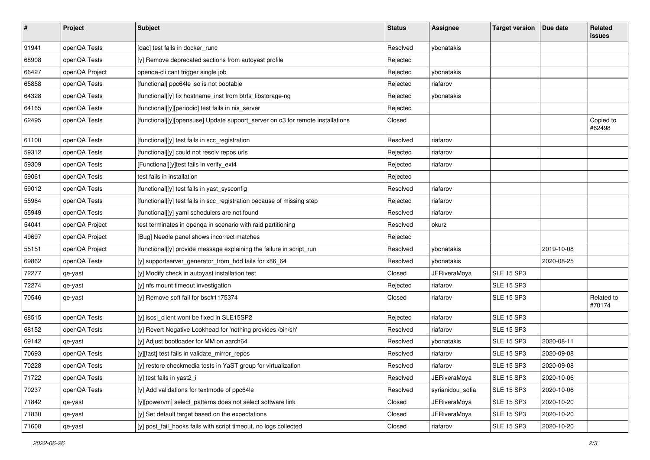| $\vert$ # | Project        | <b>Subject</b>                                                                 | <b>Status</b> | <b>Assignee</b>     | <b>Target version</b> | Due date   | Related<br><b>issues</b> |
|-----------|----------------|--------------------------------------------------------------------------------|---------------|---------------------|-----------------------|------------|--------------------------|
| 91941     | openQA Tests   | [qac] test fails in docker_runc                                                | Resolved      | ybonatakis          |                       |            |                          |
| 68908     | openQA Tests   | [y] Remove deprecated sections from autoyast profile                           | Rejected      |                     |                       |            |                          |
| 66427     | openQA Project | openqa-cli cant trigger single job                                             | Rejected      | ybonatakis          |                       |            |                          |
| 65858     | openQA Tests   | [functional] ppc64le iso is not bootable                                       | Rejected      | riafarov            |                       |            |                          |
| 64328     | openQA Tests   | [functional][y] fix hostname_inst from btrfs_libstorage-ng                     | Rejected      | ybonatakis          |                       |            |                          |
| 64165     | openQA Tests   | [functional][y][periodic] test fails in nis_server                             | Rejected      |                     |                       |            |                          |
| 62495     | openQA Tests   | [functional][y][opensuse] Update support_server on o3 for remote installations | Closed        |                     |                       |            | Copied to<br>#62498      |
| 61100     | openQA Tests   | [functional][y] test fails in scc_registration                                 | Resolved      | riafarov            |                       |            |                          |
| 59312     | openQA Tests   | [functional][y] could not resolv repos urls                                    | Rejected      | riafarov            |                       |            |                          |
| 59309     | openQA Tests   | [Functional][y]test fails in verify_ext4                                       | Rejected      | riafarov            |                       |            |                          |
| 59061     | openQA Tests   | test fails in installation                                                     | Rejected      |                     |                       |            |                          |
| 59012     | openQA Tests   | [functional][y] test fails in yast_sysconfig                                   | Resolved      | riafarov            |                       |            |                          |
| 55964     | openQA Tests   | [functional][y] test fails in scc_registration because of missing step         | Rejected      | riafarov            |                       |            |                          |
| 55949     | openQA Tests   | [functional][y] yaml schedulers are not found                                  | Resolved      | riafarov            |                       |            |                          |
| 54041     | openQA Project | test terminates in openqa in scenario with raid partitioning                   | Resolved      | okurz               |                       |            |                          |
| 49697     | openQA Project | [Bug] Needle panel shows incorrect matches                                     | Rejected      |                     |                       |            |                          |
| 55151     | openQA Project | [functional][y] provide message explaining the failure in script_run           | Resolved      | ybonatakis          |                       | 2019-10-08 |                          |
| 69862     | openQA Tests   | [y] supportserver_generator_from_hdd fails for x86_64                          | Resolved      | ybonatakis          |                       | 2020-08-25 |                          |
| 72277     | qe-yast        | [y] Modify check in autoyast installation test                                 | Closed        | <b>JERiveraMoya</b> | <b>SLE 15 SP3</b>     |            |                          |
| 72274     | qe-yast        | [y] nfs mount timeout investigation                                            | Rejected      | riafarov            | <b>SLE 15 SP3</b>     |            |                          |
| 70546     | qe-yast        | [y] Remove soft fail for bsc#1175374                                           | Closed        | riafarov            | <b>SLE 15 SP3</b>     |            | Related to<br>#70174     |
| 68515     | openQA Tests   | [y] iscsi_client wont be fixed in SLE15SP2                                     | Rejected      | riafarov            | <b>SLE 15 SP3</b>     |            |                          |
| 68152     | openQA Tests   | [y] Revert Negative Lookhead for 'nothing provides /bin/sh'                    | Resolved      | riafarov            | <b>SLE 15 SP3</b>     |            |                          |
| 69142     | qe-yast        | [y] Adjust bootloader for MM on aarch64                                        | Resolved      | ybonatakis          | <b>SLE 15 SP3</b>     | 2020-08-11 |                          |
| 70693     | openQA Tests   | [y][fast] test fails in validate_mirror_repos                                  | Resolved      | riafarov            | <b>SLE 15 SP3</b>     | 2020-09-08 |                          |
| 70228     | openQA Tests   | [y] restore checkmedia tests in YaST group for virtualization                  | Resolved      | riafarov            | <b>SLE 15 SP3</b>     | 2020-09-08 |                          |
| 71722     | openQA Tests   | [y] test fails in yast2_i                                                      | Resolved      | <b>JERiveraMoya</b> | <b>SLE 15 SP3</b>     | 2020-10-06 |                          |
| 70237     | openQA Tests   | [y] Add validations for textmode of ppc64le                                    | Resolved      | syrianidou_sofia    | <b>SLE 15 SP3</b>     | 2020-10-06 |                          |
| 71842     | qe-yast        | [y][powervm] select_patterns does not select software link                     | Closed        | <b>JERiveraMoya</b> | <b>SLE 15 SP3</b>     | 2020-10-20 |                          |
| 71830     | qe-yast        | [y] Set default target based on the expectations                               | Closed        | <b>JERiveraMoya</b> | <b>SLE 15 SP3</b>     | 2020-10-20 |                          |
| 71608     | qe-yast        | [y] post_fail_hooks fails with script timeout, no logs collected               | Closed        | riafarov            | <b>SLE 15 SP3</b>     | 2020-10-20 |                          |